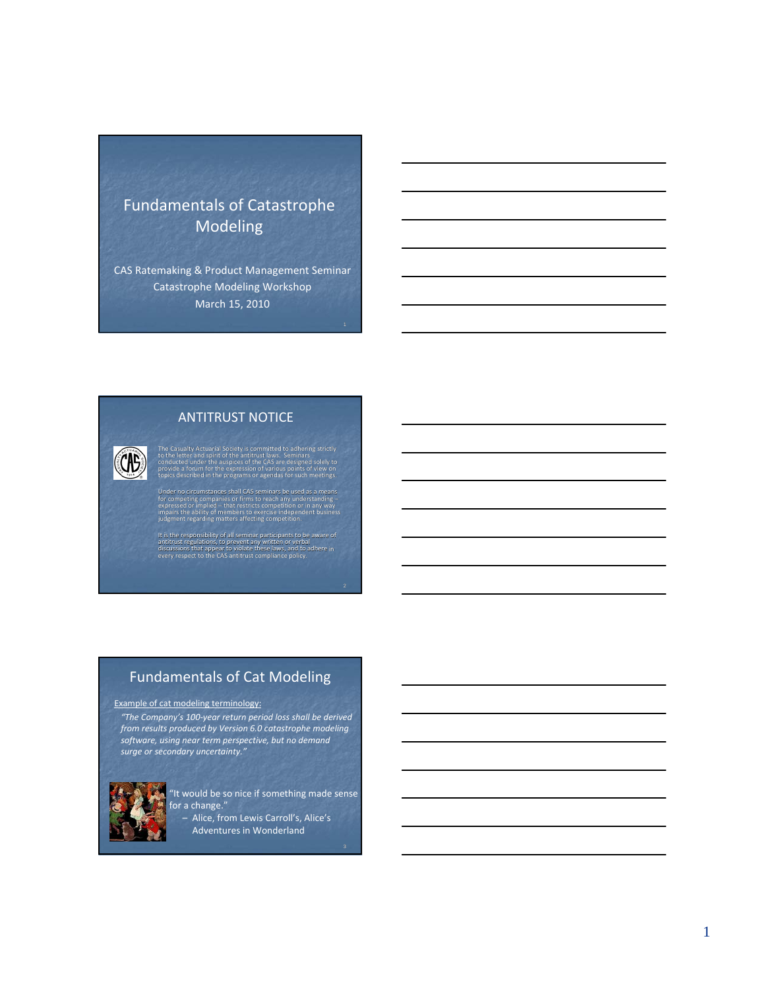# Fundamentals of Catastrophe Modeling

CAS Ratemaking & Product Management Seminar Catastrophe Modeling Workshop March 15, 2010

#### ANTITRUST NOTICE

**CHE** 

Under no circumstances shall CAS seminars be used as a means<br>for competing companies or firms to reach any understanding-<br>expressed or implied – that restricts competition or in any way<br>impairs the ability of members to ex

sualty Actuarial Society is committed to adhering strictly<br>letter and spirit of the antitrust laws. Seminars<br>cted under the auspices of the CAS are designed solely to<br>e a forum for the expression of various points of view

It is the responsibility of all seminar participants to be aware of<br>antitrust regulations, to prevent any written or verbal<br>discussions that appear to wiolate these laws, and to adhere in<br>every respect to the CAS antitrust

#### Fundamentals of Cat Modeling

#### Example of cat modeling terminology:

*"The Company's 100‐year return period loss shall be derived from results produced by Version 6.0 catastrophe modeling software, using near term perspective, but no demand surge or secondary uncertainty."*



"It would be so nice if something made sense for a change." – Alice, from Lewis Carroll's, Alice's

Adventures in Wonderland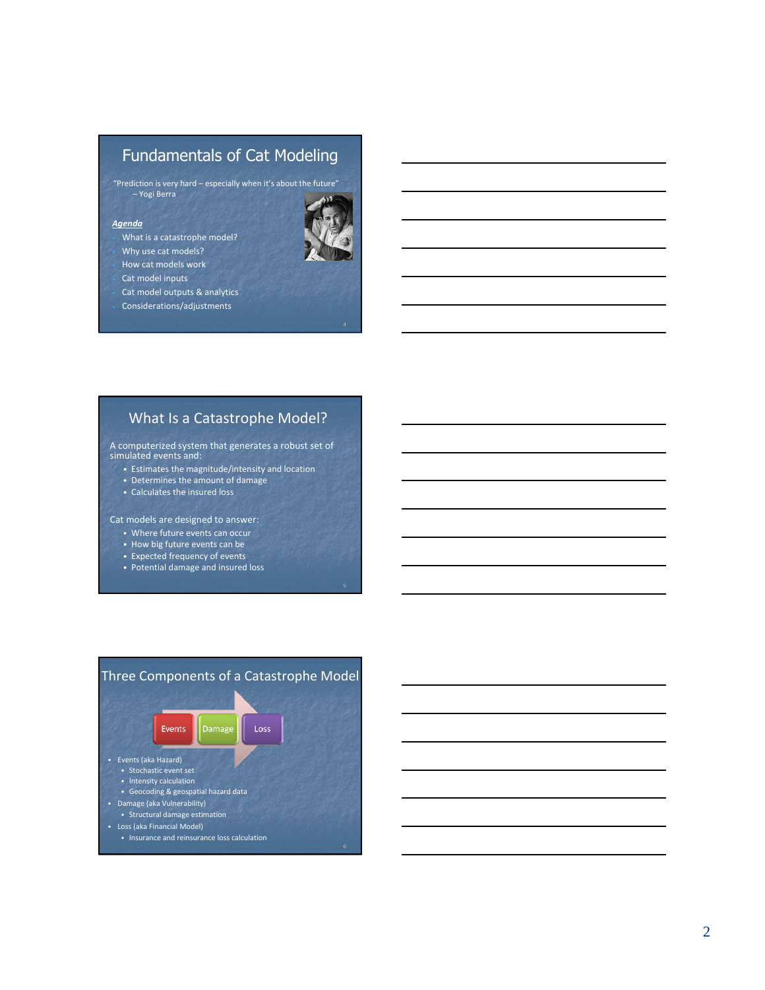# Fundamentals of Cat Modeling

"Prediction is very hard – especially when it's about the future" – Yogi Berra

#### *Agenda*

- What is a catastrophe model?
- Why use cat models?
- How cat models work
- Cat model inputs
- Cat model outputs & analytics
- Considerations/adjustments

## What Is a Catastrophe Model?

A computerized system that generates a robust set of simulated events and:

- Estimates the magnitude/intensity and location
- Determines the amount of damage
- Calculates the insured loss

Cat models are designed to answer:

- Where future events can occur
- How big future events can be
- Expected frequency of events
- Potential damage and insured loss



• Insurance and reinsurance loss calculation

#### 2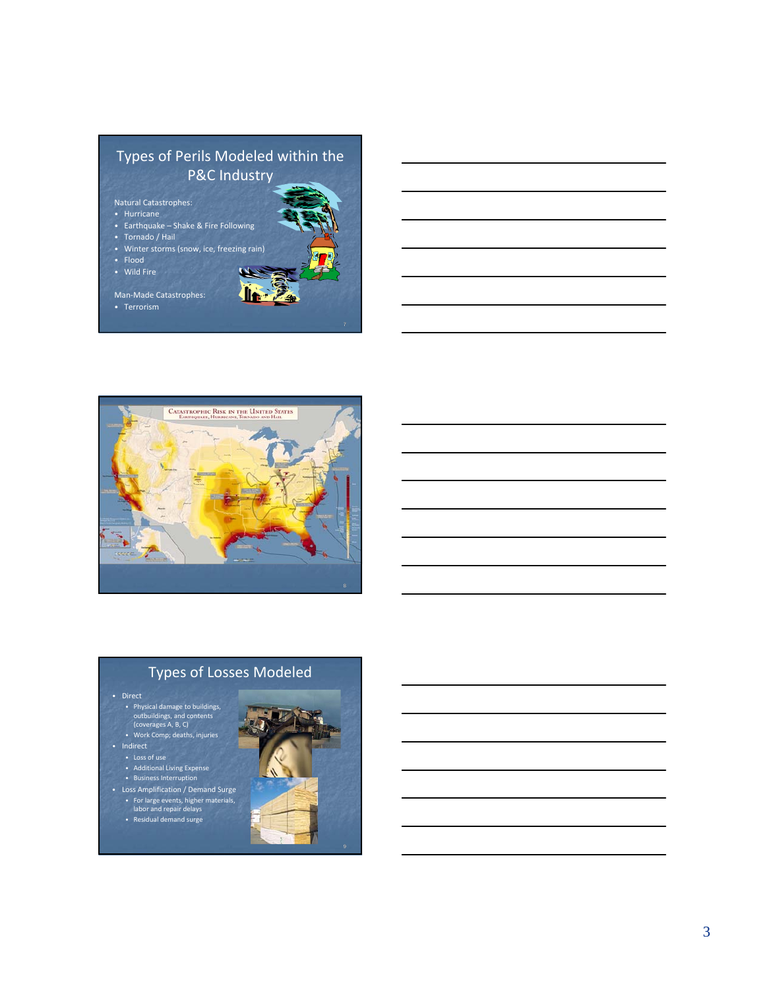





• Direct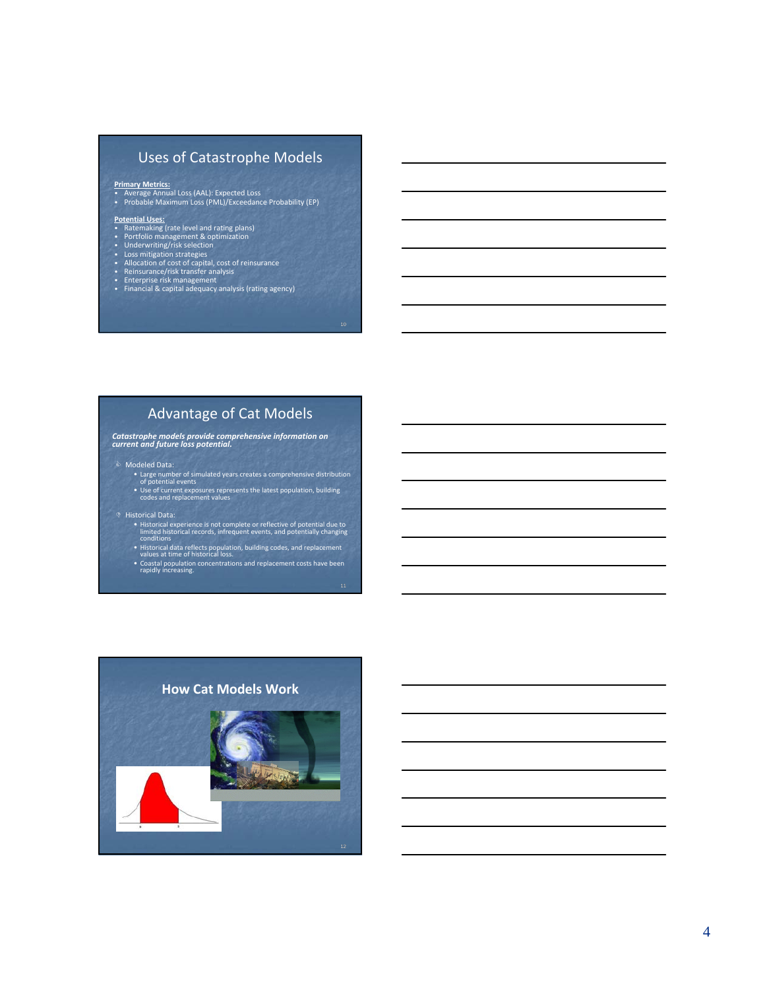## Uses of Catastrophe Models

**Primary Metrics:** • Average Annual Loss (AAL): Expected Loss • Probable Maximum Loss (PML)/Exceedance Probability (EP)

- 
- 
- 
- 
- 
- **Potential Uses:**<br>• Ratemaking (rate level and rating plans)<br>• Portfolio management & optimization<br>• Underwriting/risk selection<br>• Loss mitigation startegies<br>• Allocation of cost of capital, cost of reinsurance<br>• Reinsuran

#### Advantage of Cat Models

*Catastrophe models provide comprehensive information on current and future loss potential.*

- & Modeled Data:
	- Large number of simulated years creates <sup>a</sup> comprehensive distribution of potential events • Use of current exposures represents the latest population, building codes and replacement values
- ' Historical Data:
	- Historical experience is not complete or reflective of potential due to<br>limited historical records, infrequent events, and potentially changing<br>conditions
	- Historical data reflects population, building codes, and replacement values at time of historical loss.
	- Coastal population concentrations and replacement costs have been rapidly increasing.

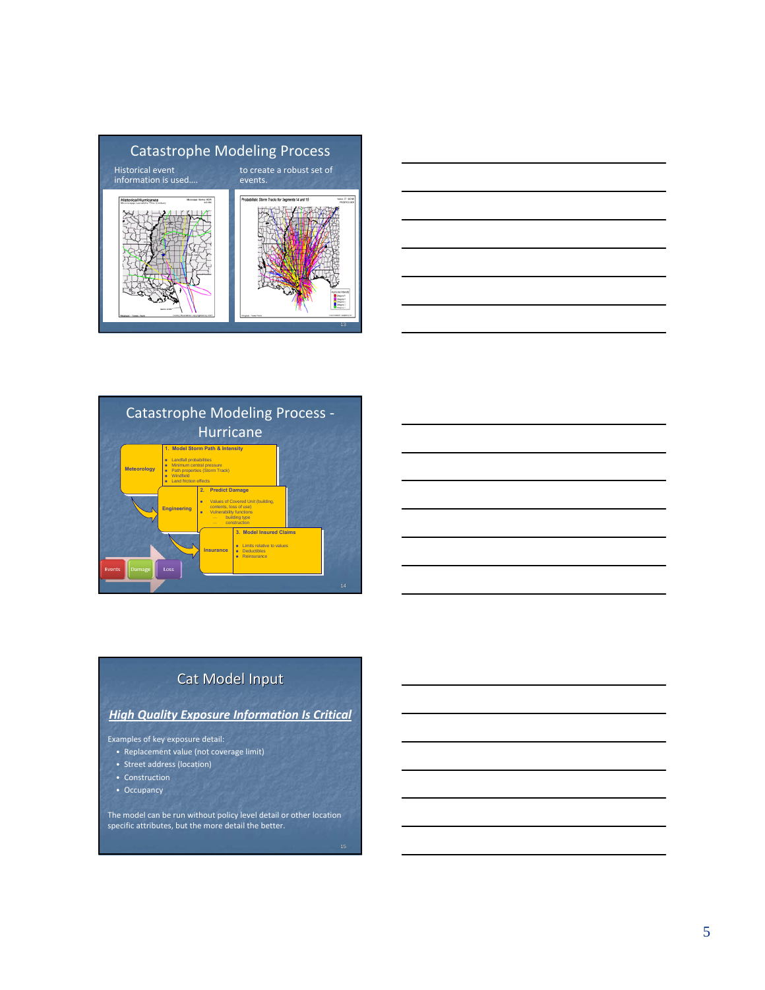





# Cat Model Input

## *High Quality Exposure Information Is Critical*

Examples of key exposure detail:

- Replacement value (not coverage limit)
- Street address (location)
- Construction
- Occupancy

The model can be run without policy level detail or other location specific attributes, but the more detail the better.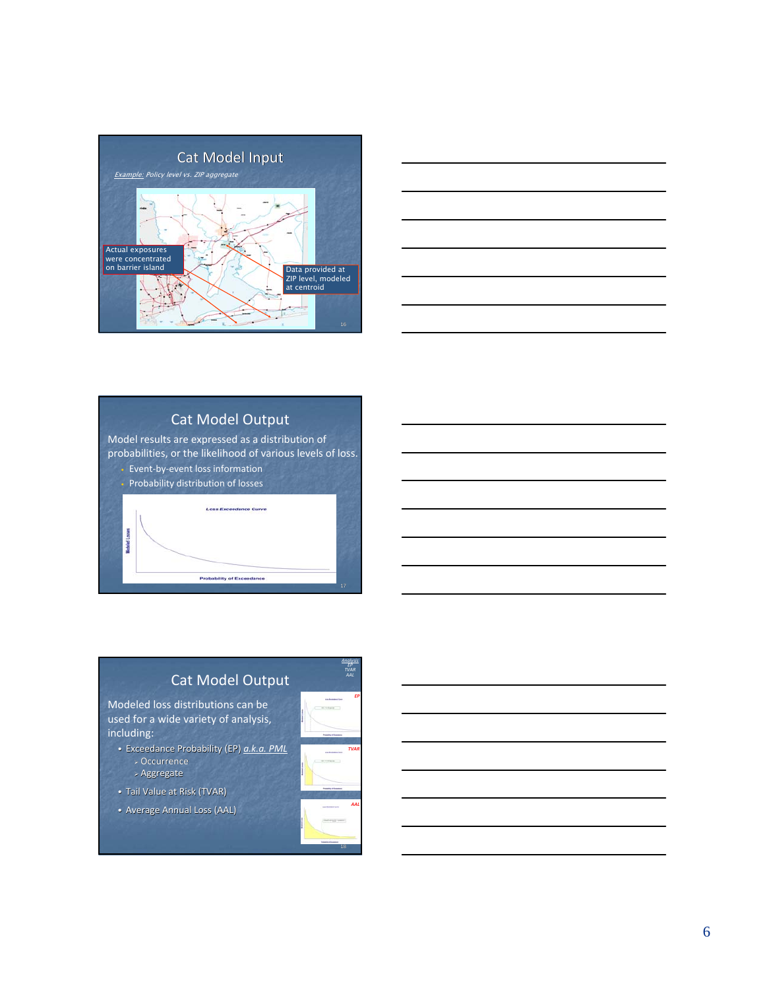



# Cat Model Output

Model results are expressed as a distribution of probabilities, or the likelihood of various levels of loss. Event-by-event loss information

**Loss Exceedance Curve** 

**Probability of Exceedance** 

• Probability distribution of losses

### Cat Model Output Modeled loss distributions can be used for a wide variety of analysis, including:

- Exceedance Probability (EP) *a.k.a. PML* <sup>¾</sup> Occurrence
	- $\times$  Aggregate

Modeled Losses

- Tail Value at Risk (TVAR)
- Average Annual Loss (AAL)



*Analysis EP TVAR*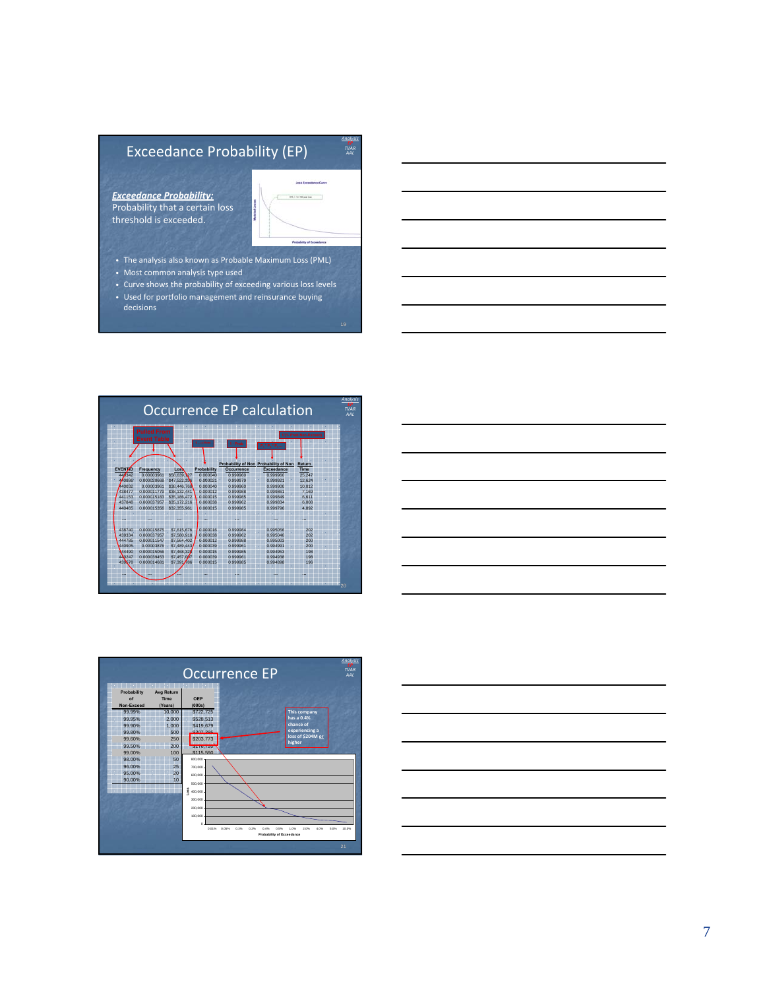# Exceedance Probability (EP)

*Exceedance Probability:* Probability that a certain loss threshold is exceeded.



*Analysis EP TVAR AAL*

- The analysis also known as Probable Maximum Loss (PML)
- Most common analysis type used
- Curve shows the probability of exceeding various loss levels • Used for portfolio management and reinsurance buying decisions







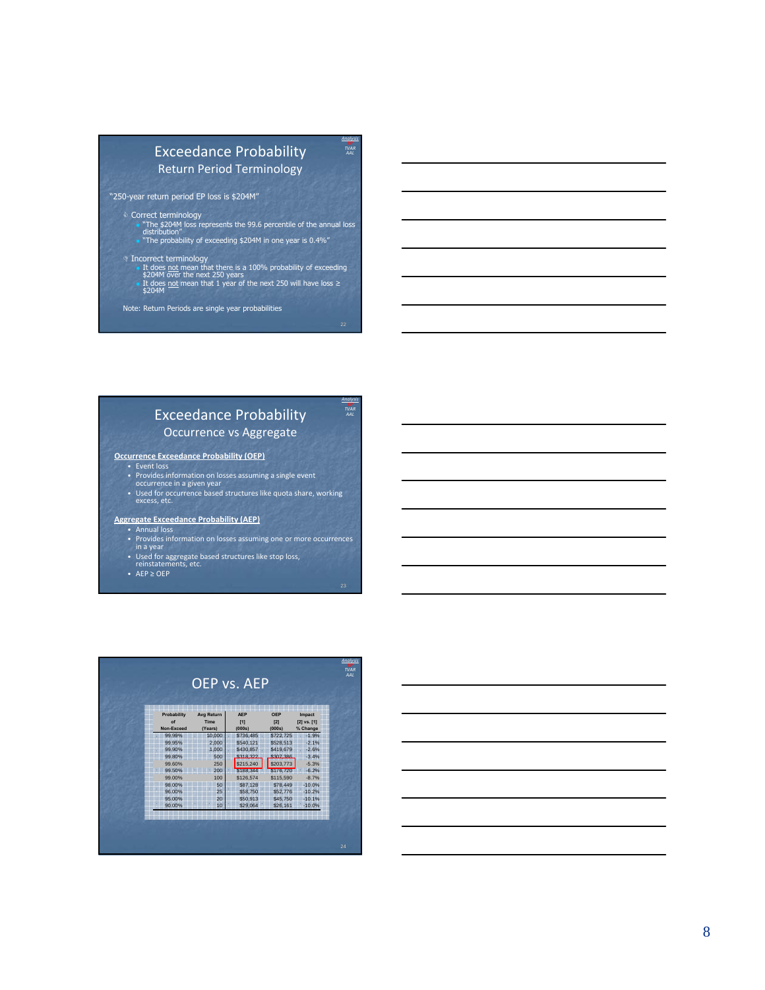## Exceedance Probability Return Period Terminology

*Analysis EP TVAR AAL*

*Analysis EP TVAR AAL*

"250-year return period EP loss is \$204M"

- & Correct terminology "The \$204M loss represents the 99.6 percentile of the annual loss distribution" "The probability of exceeding \$204M in one year is 0.4%"
- 
- ' Incorrect terminology It does not mean that there is a 100% probability of exceeding \$204M over the next 250 years **■ It does <u>not</u> mean that 1 year of the next 250 will have loss ≥**<br>\$204M
- Note: Return Periods are single year probabilities

#### Exceedance Probability Occurrence vs Aggregate

#### **Occurrence Exceedance Probability (OEP)**

- Event loss<br>• Provides information on losses assuming a single event<br>• occurrence in a given year
- 
- Used for occurrence based structures like quota share, working excess, etc.

#### **Aggregate Exceedance Probability (AEP)**

- Annual loss<br>• Provides information on losses assuming one or more occurrences<br>• Used for aggregate based structures like stop loss,<br>• Preinstatements, etc.<br>• reinstatements, etc.
- 
- 
- AEP ≥ OEP

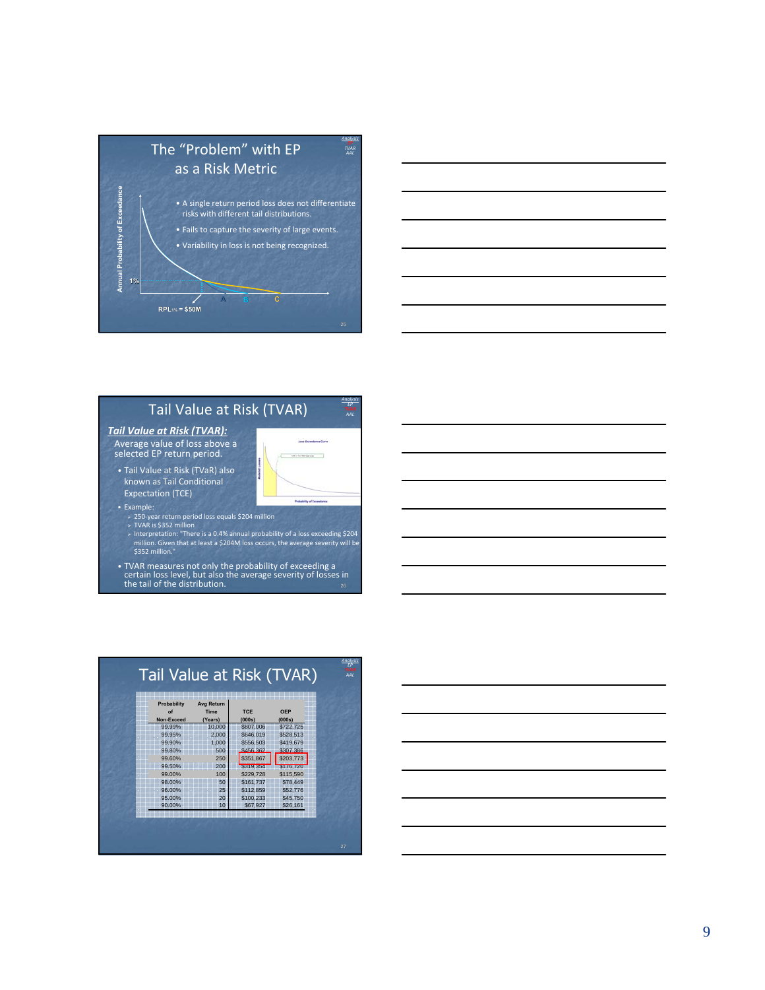



## Tail Value at Risk (TVAR)

*Analysis EP*

**Continued UNITED RESIDENTS** 

.<br>Martin and Basican Service

#### *Tail Value at Risk (TVAR):*

Average value of loss above <sup>a</sup> selected EP return period.

- Tail Value at Risk (TVaR) also known as Tail Conditional Expectation (TCE)
- Example:
	-
	- > 250-year return period loss equals \$204 million<br>> TVAR is \$352 million<br>> Interpretation: "There is a 0.4% annual probability of a loss exceeding \$204<br>million. Given that at least a \$204M loss occurs, the average severity
- TVAR measures not only the probability of exceeding a certain loss level, but also the average severity of losses in the tail of the distribution.



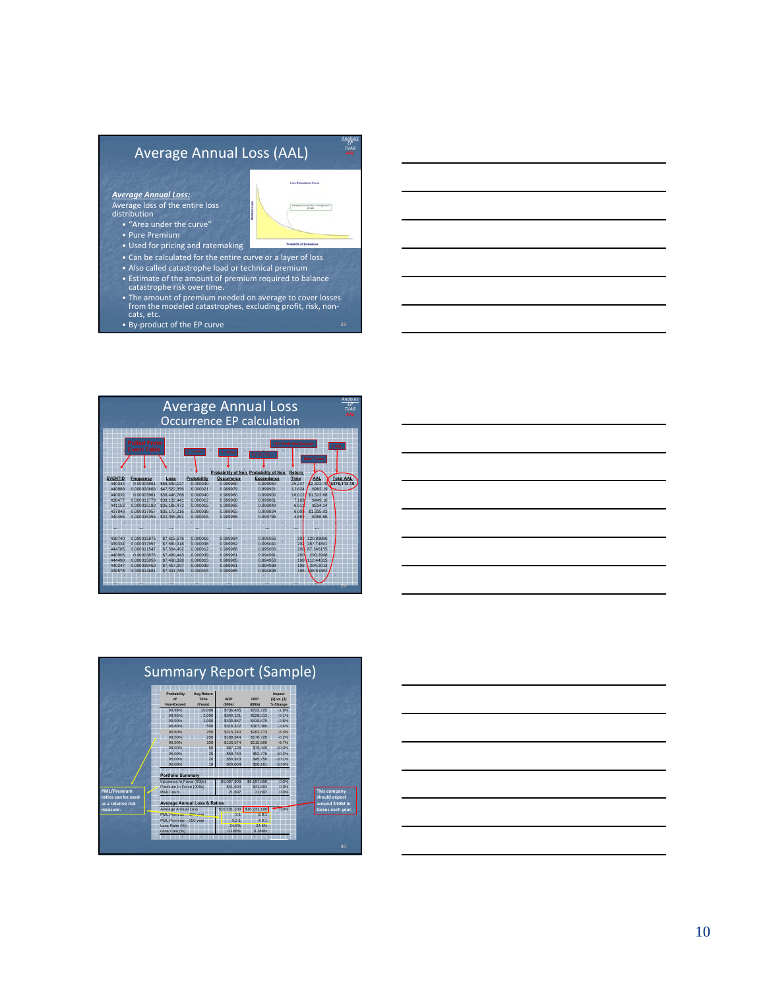

• By ‐product of the EP curve







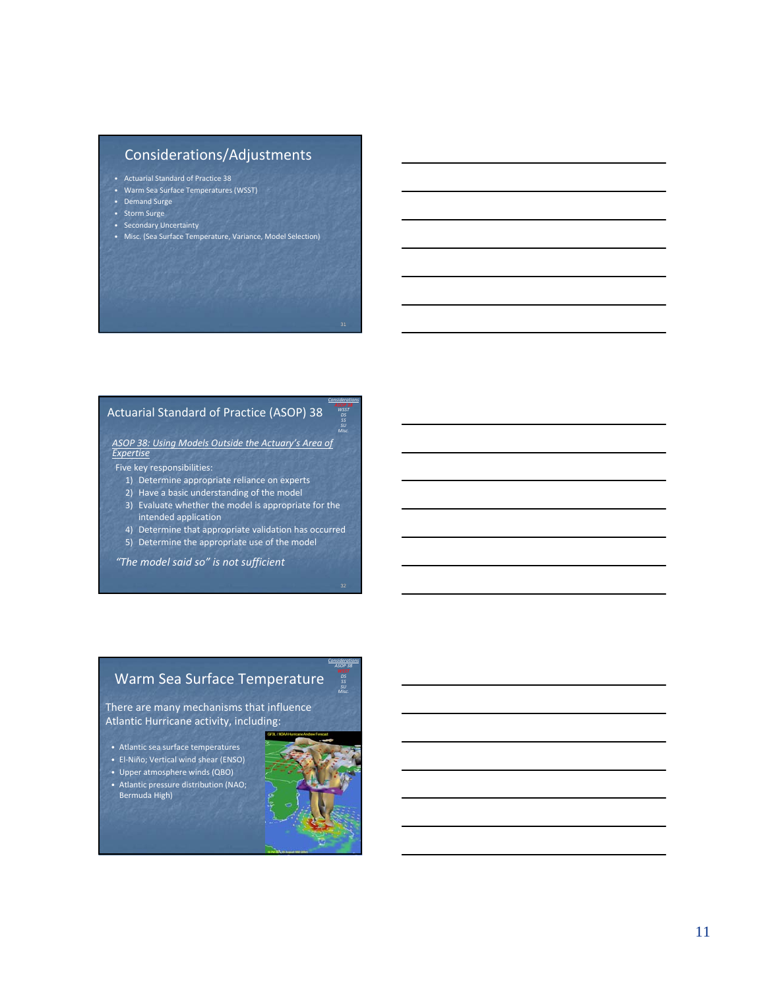## Considerations/Adjustments

- Actuarial Standard of Practice 38
- Warm Sea Surface Temperatures (WSST)
- Demand Surge
- Storm Surge
- Secondary Uncertainty
- Misc. (Sea Surface Temperature, Variance, Model Selection)

#### Actuarial Standard of Practice (ASOP) 38

*ASOP 38: Using Models Outside the Actuary's Area of Expertise*

- Five key responsibilities:
	- 1) Determine appropriate reliance on experts
	- 2) Have a basic understanding of the model
	- 3) Evaluate whether the model is appropriate for the intended application
	- 4) Determine that appropriate validation has occurred
	- 5) Determine the appropriate use of the model

*"The model said so" is not sufficient*

## Warm Sea Surface Temperature

There are many mechanisms that influence Atlantic Hurricane activity, including:

- Atlantic sea surface temperatures
- El‐Niño; Vertical wind shear (ENSO)
- Upper atmosphere winds (QBO)
- Atlantic pressure distribution (NAO; Bermuda High)



*Considerations WSST SS Misc.*

*Considerations ASOP 38 SU*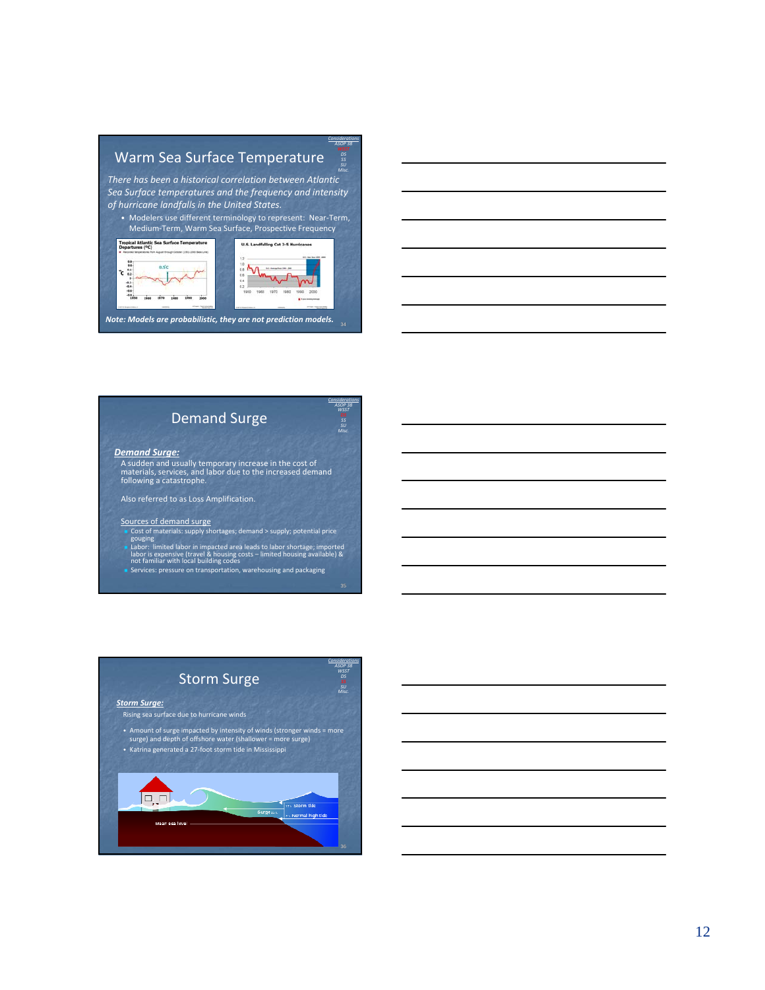# Warm Sea Surface Temperature

*There has been a historical correlation between Atlantic Sea Surface temperatures and the frequency and intensity of hurricane landfalls in the United States.*

*Considerations ASOP 38 DS Misc.*

*Considerations ASOP 38 WSST SS Misc.*

• Modelers use different terminology to represent: Near‐Term, Medium‐Term, Warm Sea Surface, Prospective Frequency





#### *Demand Surge:*

A sudden and usually temporary increase in the cost of materials, services, and labor due to the increased demand following a catastrophe.

Also referred to as Loss Amplification.

- Sources of demand surge Cost of materials: supply shortages; demand > supply; potential price
- gouging<br>
a Labor: limited labor in impacted area leads to labor shortage; imported<br>
labor is expensive (travel & housing costs limited housing available) &<br>
not familiar with local building codes<br>
not familiar with local
- 





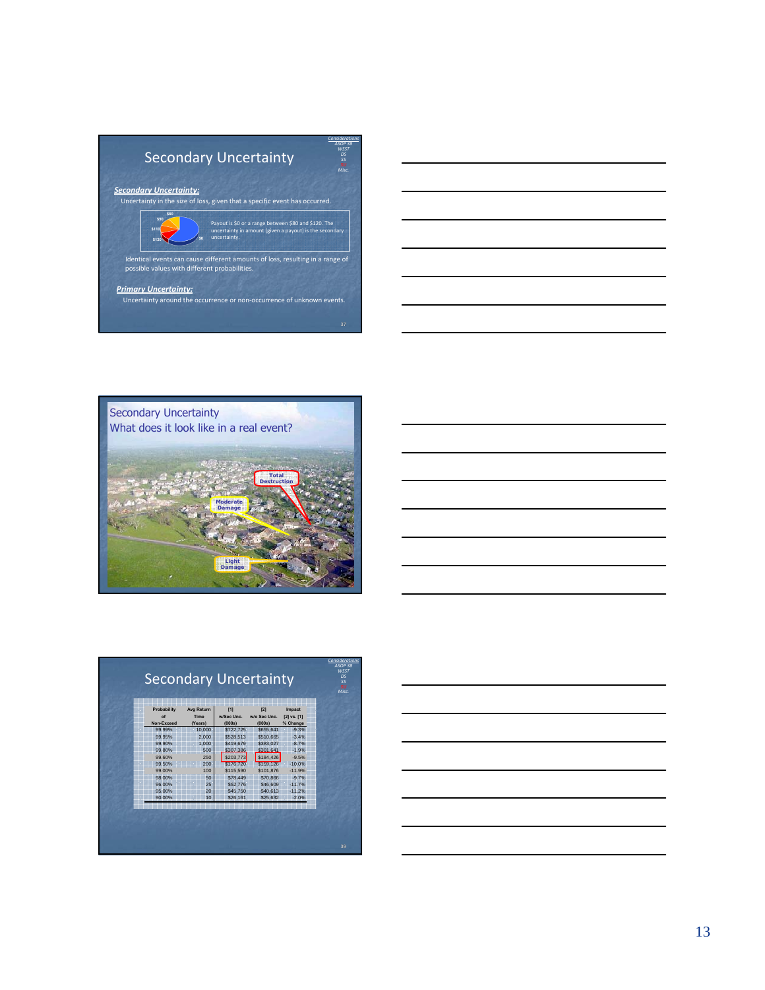









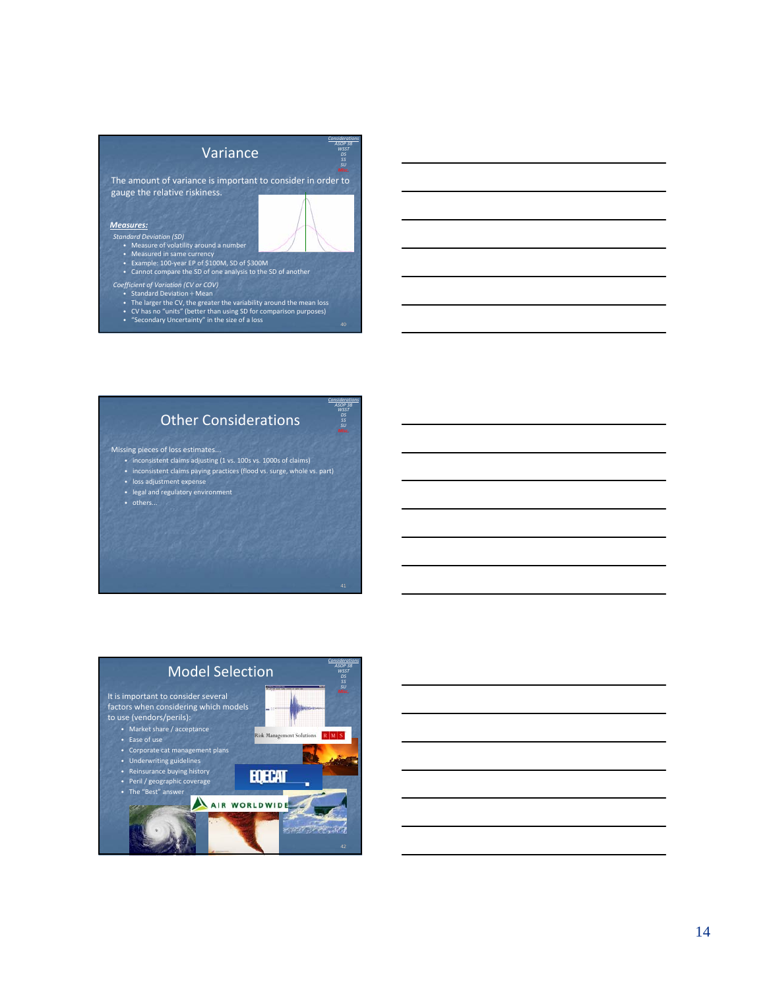| Variance                                                                                                                                                                                                                                                                                      | <b>Ansideration</b><br><b>cc</b> |
|-----------------------------------------------------------------------------------------------------------------------------------------------------------------------------------------------------------------------------------------------------------------------------------------------|----------------------------------|
| The amount of variance is important to consider in order to<br>gauge the relative riskiness.                                                                                                                                                                                                  |                                  |
| <b>Measures:</b><br><b>Standard Deviation (SD)</b><br>• Measure of volatility around a number<br>• Measured in same currency<br>• Example: 100-year EP of \$100M, SD of \$300M<br>Cannot compare the SD of one analysis to the SD of another                                                  |                                  |
| Coefficient of Variation (CV or COV)<br><b>Standard Deviation ÷ Mean</b><br>$\bullet$<br>• The larger the CV, the greater the variability around the mean loss<br>• CV has no "units" (better than using SD for comparison purposes)<br>• "Secondary Uncertainty" in the size of a loss<br>40 |                                  |



*Considerations ASOP 38 WSST*

#### Missing pieces of loss estimates...

- inconsistent claims adjusting (1 vs. 100s vs. 1000s of claims) • inconsistent claims paying practices (flood vs. surge, whole vs. part)
- loss adjustment expense
- legal and regulatory environment
- others...